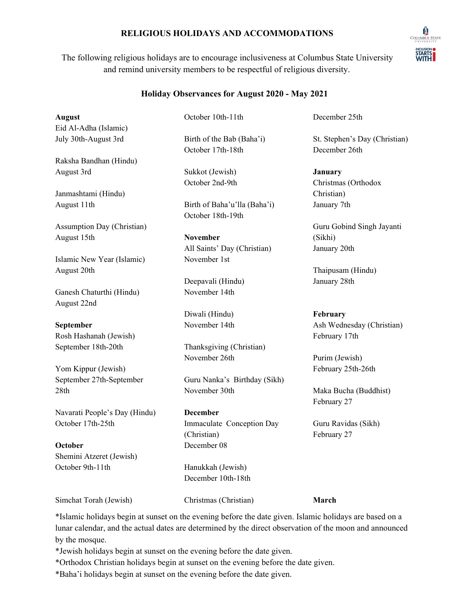## **RELIGIOUS HOLIDAYS AND ACCOMMODATIONS**

The following religious holidays are to encourage inclusiveness at Columbus State University and remind university members to be respectful of religious diversity.

### **Holiday Observances for August 2020 - May 2021**

**August**

Eid Al-Adha (Islamic) July 30th-August 3rd

Raksha Bandhan (Hindu) August 3rd

Janmashtami (Hindu) August 11th

Assumption Day (Christian) August 15th

Islamic New Year (Islamic) August 20th

Ganesh Chaturthi (Hindu) August 22nd

**September** Rosh Hashanah (Jewish) September 18th-20th

Yom Kippur (Jewish) September 27th-September 28th

Navarati People's Day (Hindu) October 17th-25th

**October** Shemini Atzeret (Jewish) October 9th-11th

October 10th-11th Birth of the Bab (Baha'i)

Sukkot (Jewish) October 2nd-9th

October 17th-18th

Birth of Baha'u'lla (Baha'i) October 18th-19th

**November** All Saints' Day (Christian) November 1st

Deepavali (Hindu) November 14th

Diwali (Hindu) November 14th

Thanksgiving (Christian) November 26th

Guru Nanka's Birthday (Sikh) November 30th

**December** Immaculate Conception Day (Christian) December 08

Hanukkah (Jewish) December 10th-18th December 25th

St. Stephen's Day (Christian) December 26th

**January** Christmas (Orthodox Christian) January 7th

Guru Gobind Singh Jayanti (Sikhi) January 20th

Thaipusam (Hindu) January 28th

# **February**

Ash Wednesday (Christian) February 17th

Purim (Jewish) February 25th-26th

Maka Bucha (Buddhist) February 27

Guru Ravidas (Sikh) February 27

**March**

Simchat Torah (Jewish)

Christmas (Christian)

\*Islamic holidays begin at sunset on the evening before the date given. Islamic holidays are based on a lunar calendar, and the actual dates are determined by the direct observation of the moon and announced by the mosque.

\*Jewish holidays begin at sunset on the evening before the date given.

\*Orthodox Christian holidays begin at sunset on the evening before the date given.

\*Baha'i holidays begin at sunset on the evening before the date given.